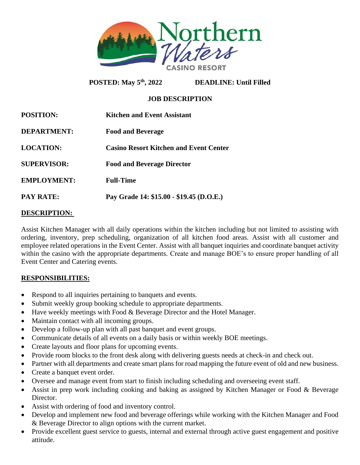

**POSTED: May 5th, 2022 DEADLINE: Until Filled** 

# **JOB DESCRIPTION**

| <b>POSITION:</b>   | Kitchen and Event Assistant                   |
|--------------------|-----------------------------------------------|
| <b>DEPARTMENT:</b> | <b>Food and Beverage</b>                      |
| <b>LOCATION:</b>   | <b>Casino Resort Kitchen and Event Center</b> |
| <b>SUPERVISOR:</b> | <b>Food and Beverage Director</b>             |
| <b>EMPLOYMENT:</b> | <b>Full-Time</b>                              |
| <b>PAY RATE:</b>   | Pay Grade 14: \$15.00 - \$19.45 (D.O.E.)      |

# **DESCRIPTION:**

Assist Kitchen Manager with all daily operations within the kitchen including but not limited to assisting with ordering, inventory, prep scheduling, organization of all kitchen food areas. Assist with all customer and employee related operations in the Event Center. Assist with all banquet inquiries and coordinate banquet activity within the casino with the appropriate departments. Create and manage BOE's to ensure proper handling of all Event Center and Catering events.

## **RESPONSIBILITIES:**

- Respond to all inquiries pertaining to banquets and events.
- Submit weekly group booking schedule to appropriate departments.
- Have weekly meetings with Food & Beverage Director and the Hotel Manager.
- Maintain contact with all incoming groups.
- Develop a follow-up plan with all past banquet and event groups.
- Communicate details of all events on a daily basis or within weekly BOE meetings.
- Create layouts and floor plans for upcoming events.
- Provide room blocks to the front desk along with delivering guests needs at check-in and check out.
- Partner with all departments and create smart plans for road mapping the future event of old and new business.
- Create a banquet event order.
- Oversee and manage event from start to finish including scheduling and overseeing event staff.
- Assist in prep work including cooking and baking as assigned by Kitchen Manager or Food & Beverage Director.
- Assist with ordering of food and inventory control.
- Develop and implement new food and beverage offerings while working with the Kitchen Manager and Food & Beverage Director to align options with the current market.
- Provide excellent guest service to guests, internal and external through active guest engagement and positive attitude.